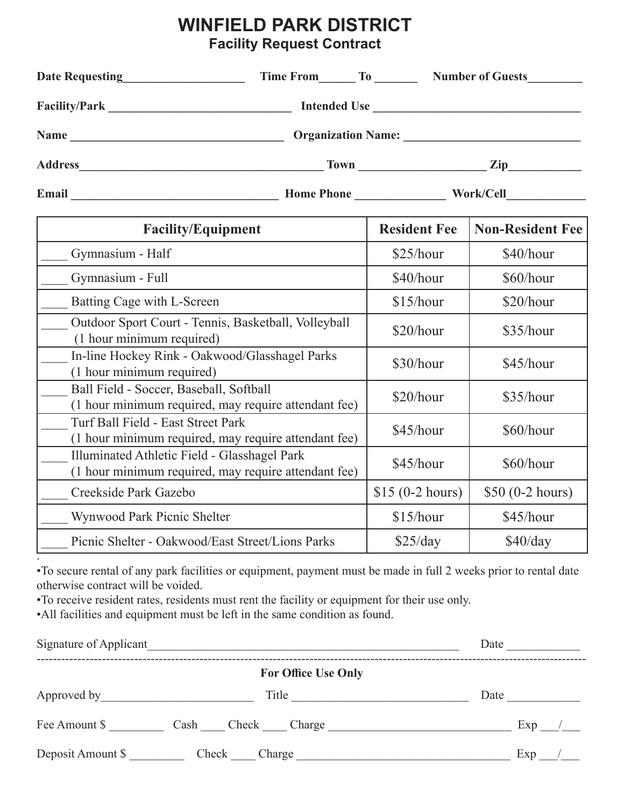## **WINFIELD PARK DISTRICT Facility Request Contract**

| Time From To Number of Guests<br><b>Date Requesting</b>                                              |                     |                         |  |
|------------------------------------------------------------------------------------------------------|---------------------|-------------------------|--|
|                                                                                                      |                     | Intended Use            |  |
|                                                                                                      |                     |                         |  |
|                                                                                                      |                     |                         |  |
|                                                                                                      |                     |                         |  |
| <b>Facility/Equipment</b>                                                                            | <b>Resident Fee</b> | <b>Non-Resident Fee</b> |  |
| Gymnasium - Half                                                                                     | \$25/hour           | \$40/hour               |  |
| Gymnasium - Full                                                                                     | \$40/hour           | \$60/hour               |  |
| Batting Cage with L-Screen                                                                           | \$15/hour           | \$20/hour               |  |
| Outdoor Sport Court - Tennis, Basketball, Volleyball<br>(1 hour minimum required)                    | \$20/hour           | \$35/hour               |  |
| In-line Hockey Rink - Oakwood/Glasshagel Parks<br>(1 hour minimum required)                          | \$30/hour           | \$45/hour               |  |
| Ball Field - Soccer, Baseball, Softball<br>(1 hour minimum required, may require attendant fee)      | \$20/hour           | \$35/hour               |  |
| Turf Ball Field - East Street Park<br>(1 hour minimum required, may require attendant fee)           | \$45/hour           | \$60/hour               |  |
| Illuminated Athletic Field - Glasshagel Park<br>(1 hour minimum required, may require attendant fee) | \$45/hour           | \$60/hour               |  |
| Creekside Park Gazebo                                                                                | $$15 (0-2 hours)$   | $$50 (0-2 hours)$       |  |
| Wynwood Park Picnic Shelter                                                                          | \$15/hour           | \$45/hour               |  |

•To secure rental of any park facilities or equipment, payment must be made in full 2 weeks prior to rental date otherwise contract will be voided.

Picnic Shelter - Oakwood/East Street/Lions Parks | \$25/day | \$40/day

•To receive resident rates, residents must rent the facility or equipment for their use only.

•All facilities and equipment must be left in the same condition as found.

.

| Signature of Applicant |                            | Date   |
|------------------------|----------------------------|--------|
|                        | <b>For Office Use Only</b> |        |
| Approved by            | Title                      | Date   |
| Fee Amount \$          | Check<br>Cash<br>Charge    | Exp    |
| Deposit Amount \$      | Check<br>Charge            | $Exp_$ |